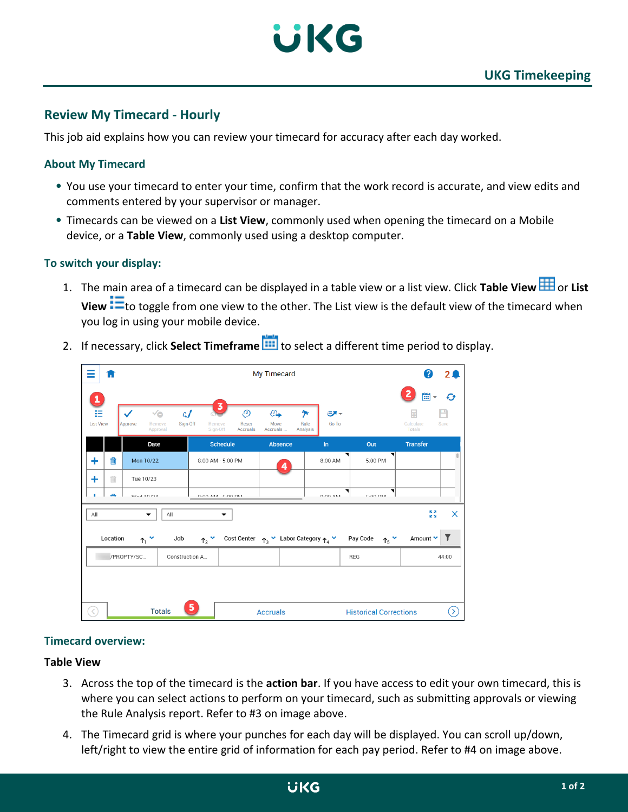

# **Review My Timecard - Hourly**

This job aid explains how you can review your timecard for accuracy after each day worked.

# **About My Timecard**

- You use your timecard to enter your time, confirm that the work record is accurate, and view edits and comments entered by your supervisor or manager.
- Timecards can be viewed on a **List View**, commonly used when opening the timecard on a Mobile device, or a **Table View**, commonly used using a desktop computer.

# **To switch your display:**

1. The main area of a timecard can be displayed in a table view or a list view. Click Table View **TH** or List **View <sup>the</sup>** to toggle from one view to the other. The List view is the default view of the timecard when you log in using your mobile device.

| Ξ<br>П                          | My Timecard                                         |                            |                                               |                                |                                                                                          |                       |                                                        |                                   |                                 | 2 <sub>4</sub> |
|---------------------------------|-----------------------------------------------------|----------------------------|-----------------------------------------------|--------------------------------|------------------------------------------------------------------------------------------|-----------------------|--------------------------------------------------------|-----------------------------------|---------------------------------|----------------|
| 1<br>這<br><b>List View</b>      | √⊜<br>$\checkmark$<br>Remove<br>Approve<br>Approval | $\mathfrak{c}$<br>Sign-Off | $\overline{\mathbf{3}}$<br>Remove<br>Sign-Off | O,<br>Reset<br><b>Accruals</b> | $\mathbb{G}$<br>Move<br>Accruals                                                         | 例<br>Rule<br>Analysis | ーペ<br>Go To                                            |                                   | 當<br>Calculate<br><b>Totals</b> | Ø<br>Save      |
|                                 | Date                                                |                            | <b>Schedule</b>                               |                                | Absence                                                                                  |                       | In                                                     | Out                               | <b>Transfer</b>                 |                |
| 勔<br>٠                          | Mon 10/22                                           |                            | 8:00 AM - 5:00 PM                             |                                | 4                                                                                        |                       | 8:00 AM                                                | 5:00 PM                           |                                 |                |
| Ŵ<br>٠                          | Tue 10/23                                           |                            |                                               |                                |                                                                                          |                       |                                                        |                                   |                                 |                |
| <b>Allen</b><br>٠               | $M = 10M$                                           |                            | $0.00 \text{ A}$ $M$ $F$ , $00 \text{ B}$     |                                |                                                                                          |                       | 0.00.11                                                | ◥<br>F.AA BAA                     |                                 |                |
| 反対<br>X<br>All<br>All<br>▼<br>▼ |                                                     |                            |                                               |                                |                                                                                          |                       |                                                        |                                   |                                 |                |
| Location                        | $\uparrow$ $\uparrow$                               | Job                        | $\uparrow$ , $\check{\,}$                     |                                | Cost Center $\uparrow$ <sub>3</sub> $\vee$ Labor Category $\uparrow$ <sub>4</sub> $\vee$ |                       |                                                        | Pay Code<br>$\uparrow$ $\uparrow$ | Amount V                        | Y              |
| /PROPTY/SC<br>Construction A    |                                                     |                            |                                               |                                |                                                                                          |                       |                                                        | REG                               |                                 | 44:00          |
| 5                               |                                                     |                            |                                               |                                |                                                                                          |                       |                                                        |                                   |                                 |                |
| K                               | <b>Totals</b>                                       |                            | <b>Accruals</b>                               |                                |                                                                                          |                       | $\tilde{\mathcal{O}}$<br><b>Historical Corrections</b> |                                   |                                 |                |

2. If necessary, click **Select Timeframe** to select a different time period to display.

### **Timecard overview:**

#### **Table View**

- 3. Across the top of the timecard is the **action bar**. If you have access to edit your own timecard, this is where you can select actions to perform on your timecard, such as submitting approvals or viewing the Rule Analysis report. Refer to #3 on image above.
- 4. The Timecard grid is where your punches for each day will be displayed. You can scroll up/down, left/right to view the entire grid of information for each pay period. Refer to #4 on image above.